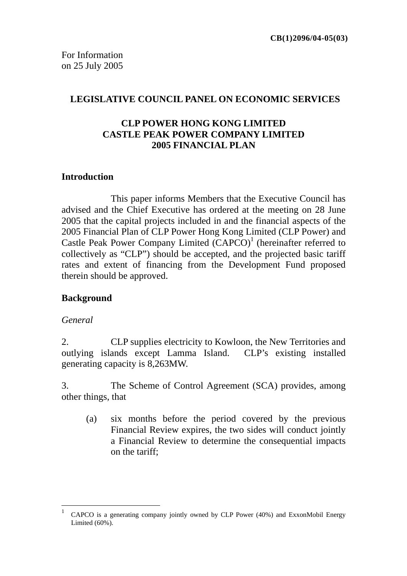#### **LEGISLATIVE COUNCIL PANEL ON ECONOMIC SERVICES**

### **CLP POWER HONG KONG LIMITED CASTLE PEAK POWER COMPANY LIMITED 2005 FINANCIAL PLAN**

#### **Introduction**

This paper informs Members that the Executive Council has advised and the Chief Executive has ordered at the meeting on 28 June 2005 that the capital projects included in and the financial aspects of the 2005 Financial Plan of CLP Power Hong Kong Limited (CLP Power) and Castle Peak Power Company Limited  $(CAPCO)^1$  (hereinafter referred to collectively as "CLP") should be accepted, and the projected basic tariff rates and extent of financing from the Development Fund proposed therein should be approved.

### **Background**

#### *General*

 $\overline{a}$ 

2. CLP supplies electricity to Kowloon, the New Territories and outlying islands except Lamma Island. CLP's existing installed generating capacity is 8,263MW.

3. The Scheme of Control Agreement (SCA) provides, among other things, that

(a) six months before the period covered by the previous Financial Review expires, the two sides will conduct jointly a Financial Review to determine the consequential impacts on the tariff;

<sup>1</sup> CAPCO is a generating company jointly owned by CLP Power (40%) and ExxonMobil Energy Limited (60%).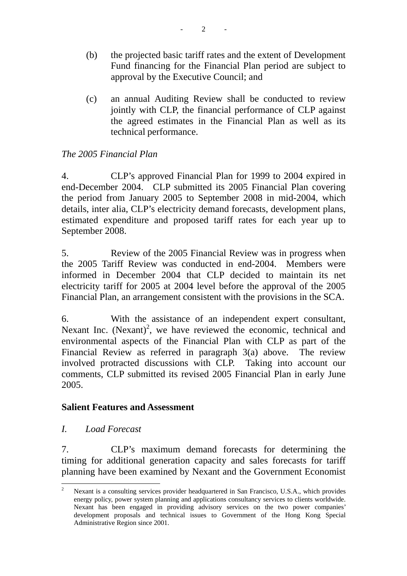- (b) the projected basic tariff rates and the extent of Development Fund financing for the Financial Plan period are subject to approval by the Executive Council; and
- (c) an annual Auditing Review shall be conducted to review jointly with CLP, the financial performance of CLP against the agreed estimates in the Financial Plan as well as its technical performance.

# *The 2005 Financial Plan*

4. CLP's approved Financial Plan for 1999 to 2004 expired in end-December 2004. CLP submitted its 2005 Financial Plan covering the period from January 2005 to September 2008 in mid-2004, which details, inter alia, CLP's electricity demand forecasts, development plans, estimated expenditure and proposed tariff rates for each year up to September 2008.

5. Review of the 2005 Financial Review was in progress when the 2005 Tariff Review was conducted in end-2004. Members were informed in December 2004 that CLP decided to maintain its net electricity tariff for 2005 at 2004 level before the approval of the 2005 Financial Plan, an arrangement consistent with the provisions in the SCA.

6. With the assistance of an independent expert consultant, Nexant Inc. (Nexant)<sup>2</sup>, we have reviewed the economic, technical and environmental aspects of the Financial Plan with CLP as part of the Financial Review as referred in paragraph 3(a) above. The review involved protracted discussions with CLP. Taking into account our comments, CLP submitted its revised 2005 Financial Plan in early June 2005.

### **Salient Features and Assessment**

*I. Load Forecast* 

7. CLP's maximum demand forecasts for determining the timing for additional generation capacity and sales forecasts for tariff planning have been examined by Nexant and the Government Economist

 $\overline{2}$ <sup>2</sup> Nexant is a consulting services provider headquartered in San Francisco, U.S.A., which provides energy policy, power system planning and applications consultancy services to clients worldwide. Nexant has been engaged in providing advisory services on the two power companies' development proposals and technical issues to Government of the Hong Kong Special Administrative Region since 2001.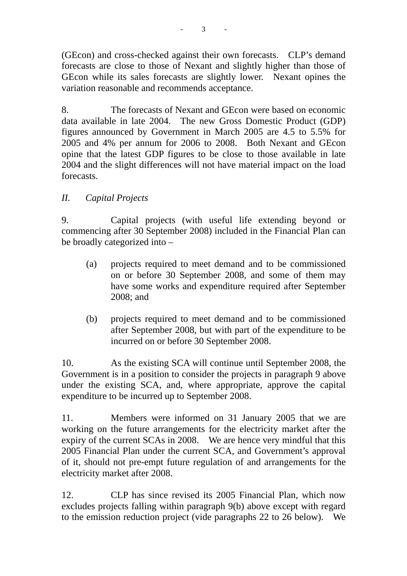(GEcon) and cross-checked against their own forecasts. CLP's demand forecasts are close to those of Nexant and slightly higher than those of GEcon while its sales forecasts are slightly lower. Nexant opines the variation reasonable and recommends acceptance.

8. The forecasts of Nexant and GEcon were based on economic data available in late 2004. The new Gross Domestic Product (GDP) figures announced by Government in March 2005 are 4.5 to 5.5% for 2005 and 4% per annum for 2006 to 2008. Both Nexant and GEcon opine that the latest GDP figures to be close to those available in late 2004 and the slight differences will not have material impact on the load forecasts.

# *II. Capital Projects*

9. Capital projects (with useful life extending beyond or commencing after 30 September 2008) included in the Financial Plan can be broadly categorized into –

- (a) projects required to meet demand and to be commissioned on or before 30 September 2008, and some of them may have some works and expenditure required after September 2008; and
- (b) projects required to meet demand and to be commissioned after September 2008, but with part of the expenditure to be incurred on or before 30 September 2008.

10. As the existing SCA will continue until September 2008, the Government is in a position to consider the projects in paragraph 9 above under the existing SCA, and, where appropriate, approve the capital expenditure to be incurred up to September 2008.

11. Members were informed on 31 January 2005 that we are working on the future arrangements for the electricity market after the expiry of the current SCAs in 2008. We are hence very mindful that this 2005 Financial Plan under the current SCA, and Government's approval of it, should not pre-empt future regulation of and arrangements for the electricity market after 2008.

12. CLP has since revised its 2005 Financial Plan, which now excludes projects falling within paragraph 9(b) above except with regard to the emission reduction project (vide paragraphs 22 to 26 below). We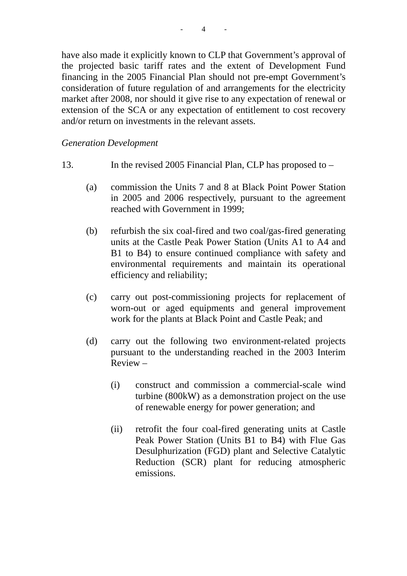have also made it explicitly known to CLP that Government's approval of the projected basic tariff rates and the extent of Development Fund financing in the 2005 Financial Plan should not pre-empt Government's consideration of future regulation of and arrangements for the electricity market after 2008, nor should it give rise to any expectation of renewal or extension of the SCA or any expectation of entitlement to cost recovery and/or return on investments in the relevant assets.

#### *Generation Development*

- 13. In the revised 2005 Financial Plan, CLP has proposed to
	- (a) commission the Units 7 and 8 at Black Point Power Station in 2005 and 2006 respectively, pursuant to the agreement reached with Government in 1999;
	- (b) refurbish the six coal-fired and two coal/gas-fired generating units at the Castle Peak Power Station (Units A1 to A4 and B1 to B4) to ensure continued compliance with safety and environmental requirements and maintain its operational efficiency and reliability;
	- (c) carry out post-commissioning projects for replacement of worn-out or aged equipments and general improvement work for the plants at Black Point and Castle Peak; and
	- (d) carry out the following two environment-related projects pursuant to the understanding reached in the 2003 Interim Review –
		- (i) construct and commission a commercial-scale wind turbine (800kW) as a demonstration project on the use of renewable energy for power generation; and
		- (ii) retrofit the four coal-fired generating units at Castle Peak Power Station (Units B1 to B4) with Flue Gas Desulphurization (FGD) plant and Selective Catalytic Reduction (SCR) plant for reducing atmospheric emissions.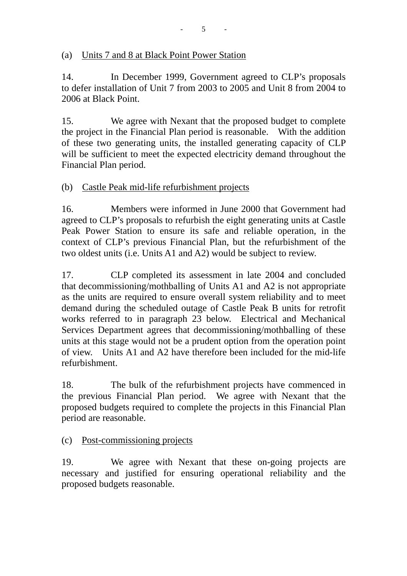## (a) Units 7 and 8 at Black Point Power Station

14. In December 1999, Government agreed to CLP's proposals to defer installation of Unit 7 from 2003 to 2005 and Unit 8 from 2004 to 2006 at Black Point.

15. We agree with Nexant that the proposed budget to complete the project in the Financial Plan period is reasonable. With the addition of these two generating units, the installed generating capacity of CLP will be sufficient to meet the expected electricity demand throughout the Financial Plan period.

# (b) Castle Peak mid-life refurbishment projects

16. Members were informed in June 2000 that Government had agreed to CLP's proposals to refurbish the eight generating units at Castle Peak Power Station to ensure its safe and reliable operation, in the context of CLP's previous Financial Plan, but the refurbishment of the two oldest units (i.e. Units A1 and A2) would be subject to review.

17. CLP completed its assessment in late 2004 and concluded that decommissioning/mothballing of Units A1 and A2 is not appropriate as the units are required to ensure overall system reliability and to meet demand during the scheduled outage of Castle Peak B units for retrofit works referred to in paragraph 23 below. Electrical and Mechanical Services Department agrees that decommissioning/mothballing of these units at this stage would not be a prudent option from the operation point of view. Units A1 and A2 have therefore been included for the mid-life refurbishment.

18. The bulk of the refurbishment projects have commenced in the previous Financial Plan period. We agree with Nexant that the proposed budgets required to complete the projects in this Financial Plan period are reasonable.

### (c) Post-commissioning projects

19. We agree with Nexant that these on-going projects are necessary and justified for ensuring operational reliability and the proposed budgets reasonable.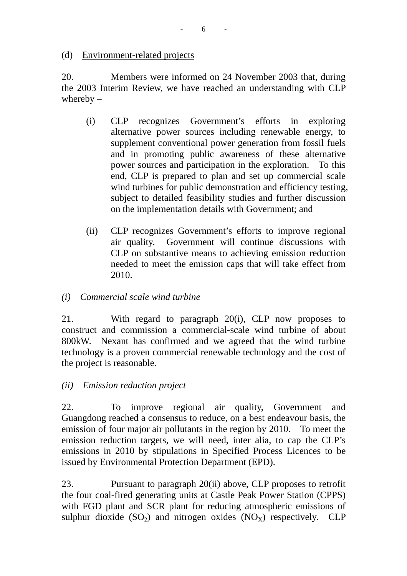#### (d) Environment-related projects

20. Members were informed on 24 November 2003 that, during the 2003 Interim Review, we have reached an understanding with CLP whereby  $-$ 

- (i) CLP recognizes Government's efforts in exploring alternative power sources including renewable energy, to supplement conventional power generation from fossil fuels and in promoting public awareness of these alternative power sources and participation in the exploration. To this end, CLP is prepared to plan and set up commercial scale wind turbines for public demonstration and efficiency testing, subject to detailed feasibility studies and further discussion on the implementation details with Government; and
- (ii) CLP recognizes Government's efforts to improve regional air quality. Government will continue discussions with CLP on substantive means to achieving emission reduction needed to meet the emission caps that will take effect from 2010.

### *(i) Commercial scale wind turbine*

21. With regard to paragraph 20(i), CLP now proposes to construct and commission a commercial-scale wind turbine of about 800kW. Nexant has confirmed and we agreed that the wind turbine technology is a proven commercial renewable technology and the cost of the project is reasonable.

### *(ii) Emission reduction project*

22. To improve regional air quality, Government and Guangdong reached a consensus to reduce, on a best endeavour basis, the emission of four major air pollutants in the region by 2010. To meet the emission reduction targets, we will need, inter alia, to cap the CLP's emissions in 2010 by stipulations in Specified Process Licences to be issued by Environmental Protection Department (EPD).

23. Pursuant to paragraph 20(ii) above, CLP proposes to retrofit the four coal-fired generating units at Castle Peak Power Station (CPPS) with FGD plant and SCR plant for reducing atmospheric emissions of sulphur dioxide  $(SO<sub>2</sub>)$  and nitrogen oxides  $(NO<sub>X</sub>)$  respectively. CLP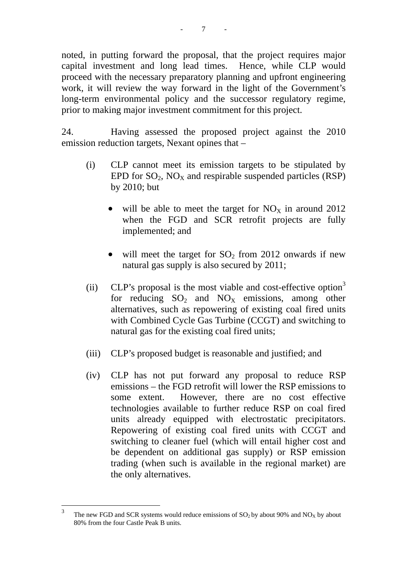noted, in putting forward the proposal, that the project requires major capital investment and long lead times. Hence, while CLP would proceed with the necessary preparatory planning and upfront engineering work, it will review the way forward in the light of the Government's long-term environmental policy and the successor regulatory regime, prior to making major investment commitment for this project.

24. Having assessed the proposed project against the 2010 emission reduction targets, Nexant opines that –

- (i) CLP cannot meet its emission targets to be stipulated by EPD for  $SO_2$ ,  $NO_x$  and respirable suspended particles (RSP) by 2010; but
	- will be able to meet the target for  $NO<sub>x</sub>$  in around 2012 when the FGD and SCR retrofit projects are fully implemented; and
	- will meet the target for  $SO_2$  from 2012 onwards if new natural gas supply is also secured by 2011;
- (ii) CLP's proposal is the most viable and cost-effective option<sup>3</sup> for reducing  $SO_2$  and  $NO_X$  emissions, among other alternatives, such as repowering of existing coal fired units with Combined Cycle Gas Turbine (CCGT) and switching to natural gas for the existing coal fired units;
- (iii) CLP's proposed budget is reasonable and justified; and
- (iv) CLP has not put forward any proposal to reduce RSP emissions – the FGD retrofit will lower the RSP emissions to some extent. However, there are no cost effective technologies available to further reduce RSP on coal fired units already equipped with electrostatic precipitators. Repowering of existing coal fired units with CCGT and switching to cleaner fuel (which will entail higher cost and be dependent on additional gas supply) or RSP emission trading (when such is available in the regional market) are the only alternatives.

 $\overline{3}$ The new FGD and SCR systems would reduce emissions of  $SO<sub>2</sub>$  by about 90% and NO<sub>x</sub> by about 80% from the four Castle Peak B units.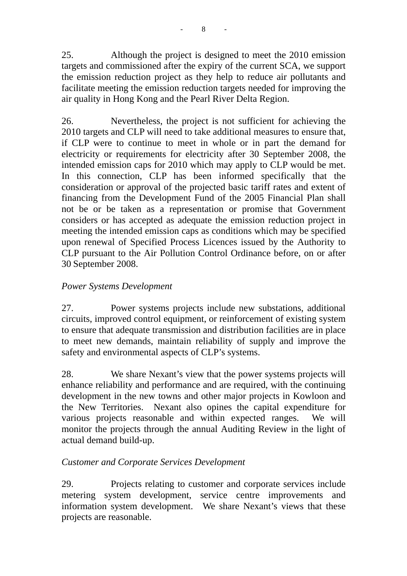25. Although the project is designed to meet the 2010 emission targets and commissioned after the expiry of the current SCA, we support the emission reduction project as they help to reduce air pollutants and facilitate meeting the emission reduction targets needed for improving the air quality in Hong Kong and the Pearl River Delta Region.

26. Nevertheless, the project is not sufficient for achieving the 2010 targets and CLP will need to take additional measures to ensure that, if CLP were to continue to meet in whole or in part the demand for electricity or requirements for electricity after 30 September 2008, the intended emission caps for 2010 which may apply to CLP would be met. In this connection, CLP has been informed specifically that the consideration or approval of the projected basic tariff rates and extent of financing from the Development Fund of the 2005 Financial Plan shall not be or be taken as a representation or promise that Government considers or has accepted as adequate the emission reduction project in meeting the intended emission caps as conditions which may be specified upon renewal of Specified Process Licences issued by the Authority to CLP pursuant to the Air Pollution Control Ordinance before, on or after 30 September 2008.

# *Power Systems Development*

27. Power systems projects include new substations, additional circuits, improved control equipment, or reinforcement of existing system to ensure that adequate transmission and distribution facilities are in place to meet new demands, maintain reliability of supply and improve the safety and environmental aspects of CLP's systems.

28. We share Nexant's view that the power systems projects will enhance reliability and performance and are required, with the continuing development in the new towns and other major projects in Kowloon and the New Territories. Nexant also opines the capital expenditure for various projects reasonable and within expected ranges. We will monitor the projects through the annual Auditing Review in the light of actual demand build-up.

# *Customer and Corporate Services Development*

29. Projects relating to customer and corporate services include metering system development, service centre improvements and information system development. We share Nexant's views that these projects are reasonable.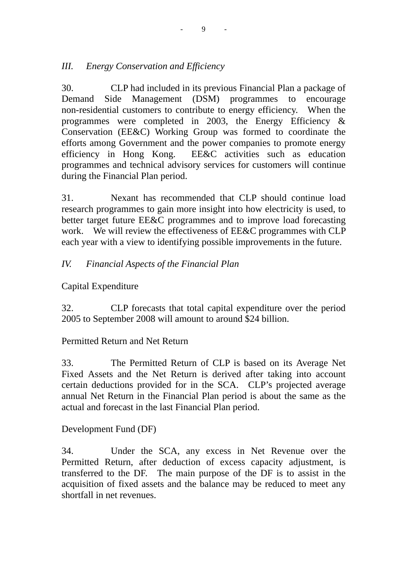# *III. Energy Conservation and Efficiency*

30. CLP had included in its previous Financial Plan a package of Demand Side Management (DSM) programmes to encourage non-residential customers to contribute to energy efficiency. When the programmes were completed in 2003, the Energy Efficiency  $\&$ Conservation (EE&C) Working Group was formed to coordinate the efforts among Government and the power companies to promote energy efficiency in Hong Kong. EE&C activities such as education programmes and technical advisory services for customers will continue during the Financial Plan period.

31. Nexant has recommended that CLP should continue load research programmes to gain more insight into how electricity is used, to better target future EE&C programmes and to improve load forecasting work. We will review the effectiveness of EE&C programmes with CLP each year with a view to identifying possible improvements in the future.

# *IV. Financial Aspects of the Financial Plan*

Capital Expenditure

32. CLP forecasts that total capital expenditure over the period 2005 to September 2008 will amount to around \$24 billion.

### Permitted Return and Net Return

33. The Permitted Return of CLP is based on its Average Net Fixed Assets and the Net Return is derived after taking into account certain deductions provided for in the SCA. CLP's projected average annual Net Return in the Financial Plan period is about the same as the actual and forecast in the last Financial Plan period.

### Development Fund (DF)

34. Under the SCA, any excess in Net Revenue over the Permitted Return, after deduction of excess capacity adjustment, is transferred to the DF. The main purpose of the DF is to assist in the acquisition of fixed assets and the balance may be reduced to meet any shortfall in net revenues.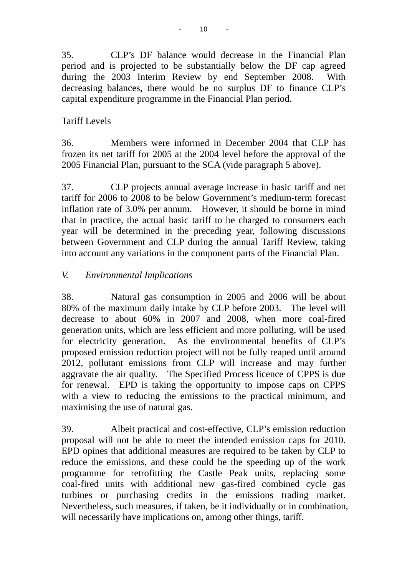35. CLP's DF balance would decrease in the Financial Plan period and is projected to be substantially below the DF cap agreed during the 2003 Interim Review by end September 2008. With decreasing balances, there would be no surplus DF to finance CLP's capital expenditure programme in the Financial Plan period.

# Tariff Levels

36. Members were informed in December 2004 that CLP has frozen its net tariff for 2005 at the 2004 level before the approval of the 2005 Financial Plan, pursuant to the SCA (vide paragraph 5 above).

37. CLP projects annual average increase in basic tariff and net tariff for 2006 to 2008 to be below Government's medium-term forecast inflation rate of 3.0% per annum. However, it should be borne in mind that in practice, the actual basic tariff to be charged to consumers each year will be determined in the preceding year, following discussions between Government and CLP during the annual Tariff Review, taking into account any variations in the component parts of the Financial Plan.

# *V. Environmental Implications*

38. Natural gas consumption in 2005 and 2006 will be about 80% of the maximum daily intake by CLP before 2003. The level will decrease to about 60% in 2007 and 2008, when more coal-fired generation units, which are less efficient and more polluting, will be used for electricity generation. As the environmental benefits of CLP's proposed emission reduction project will not be fully reaped until around 2012, pollutant emissions from CLP will increase and may further aggravate the air quality. The Specified Process licence of CPPS is due for renewal. EPD is taking the opportunity to impose caps on CPPS with a view to reducing the emissions to the practical minimum, and maximising the use of natural gas.

39. Albeit practical and cost-effective, CLP's emission reduction proposal will not be able to meet the intended emission caps for 2010. EPD opines that additional measures are required to be taken by CLP to reduce the emissions, and these could be the speeding up of the work programme for retrofitting the Castle Peak units, replacing some coal-fired units with additional new gas-fired combined cycle gas turbines or purchasing credits in the emissions trading market. Nevertheless, such measures, if taken, be it individually or in combination, will necessarily have implications on, among other things, tariff.